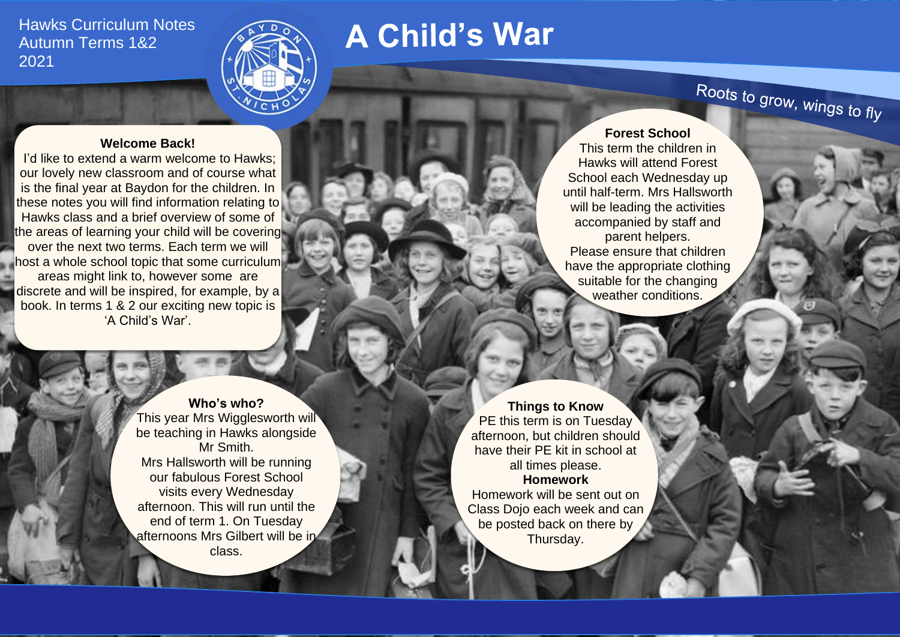Hawks Curriculum Notes Autumn Terms 1&2 2021



# **A Child's War**

## **Welcome Back!**

I'd like to extend a warm welcome to Hawks; our lovely new classroom and of course what is the final year at Baydon for the children. In these notes you will find information relating to Hawks class and a brief overview of some of the areas of learning your child will be covering over the next two terms. Each term we will host a whole school topic that some curriculum areas might link to, however some are discrete and will be inspired, for example, by a book. In terms 1 & 2 our exciting new topic is 'A Child's War'.

> **Who's who?** This year Mrs Wigglesworth will be teaching in Hawks alongside Mr Smith. Mrs Hallsworth will be running our fabulous Forest School visits every Wednesday afternoon. This will run until the end of term 1. On Tuesday afternoons Mrs Gilbert will be in class.

**Forest School** This term the children in Hawks will attend Forest School each Wednesday up until half-term. Mrs Hallsworth will be leading the activities accompanied by staff and parent helpers. Please ensure that children have the appropriate clothing suitable for the changing weather conditions.

**Things to Know** PE this term is on Tuesday afternoon, but children should have their PE kit in school at all times please. **Homework** Homework will be sent out on Class Dojo each week and can be posted back on there by Thursday.

Roots to grow, wings to fly